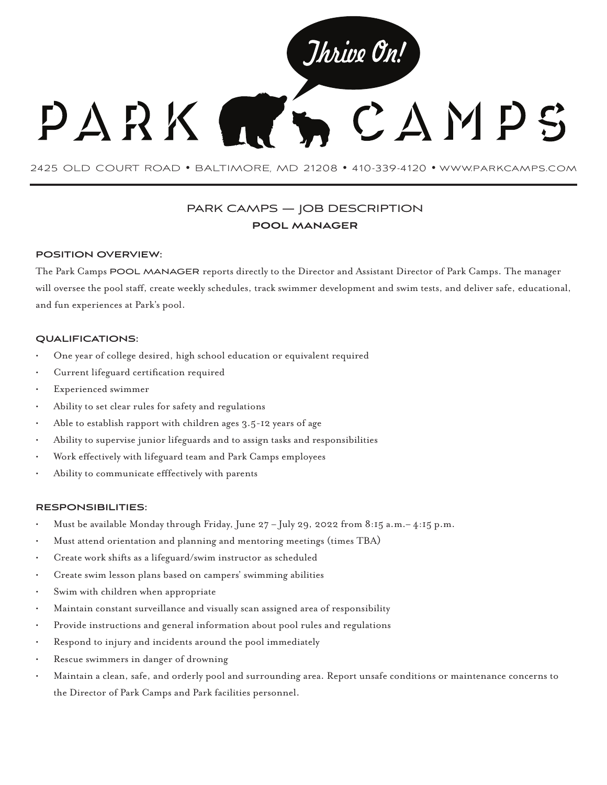

2425 OLD COURT ROAD • BALTIMORE, MD 21208 • 410-339-4120 • www.parkcamps.com

# PARK CAMPS — JOB DESCRIPTION **pool manager**

#### **POSITION OVERVIEW:**

The Park Camps POOL MANAGER reports directly to the Director and Assistant Director of Park Camps. The manager will oversee the pool staff, create weekly schedules, track swimmer development and swim tests, and deliver safe, educational, and fun experiences at Park's pool.

# **QUALIFICATIONS:**

- One year of college desired, high school education or equivalent required
- Current lifeguard certification required
- Experienced swimmer
- Ability to set clear rules for safety and regulations
- Able to establish rapport with children ages 3.5-12 years of age
- Ability to supervise junior lifeguards and to assign tasks and responsibilities
- Work effectively with lifeguard team and Park Camps employees
- Ability to communicate efffectively with parents

#### **RESPONSIBILITIES:**

- Must be available Monday through Friday, June  $27 -$  July 29, 2022 from 8:15 a.m. $-4:15$  p.m.
- Must attend orientation and planning and mentoring meetings (times TBA)
- Create work shifts as a lifeguard/swim instructor as scheduled
- Create swim lesson plans based on campers' swimming abilities
- Swim with children when appropriate
- Maintain constant surveillance and visually scan assigned area of responsibility
- Provide instructions and general information about pool rules and regulations
- Respond to injury and incidents around the pool immediately
- Rescue swimmers in danger of drowning
- Maintain a clean, safe, and orderly pool and surrounding area. Report unsafe conditions or maintenance concerns to the Director of Park Camps and Park facilities personnel.